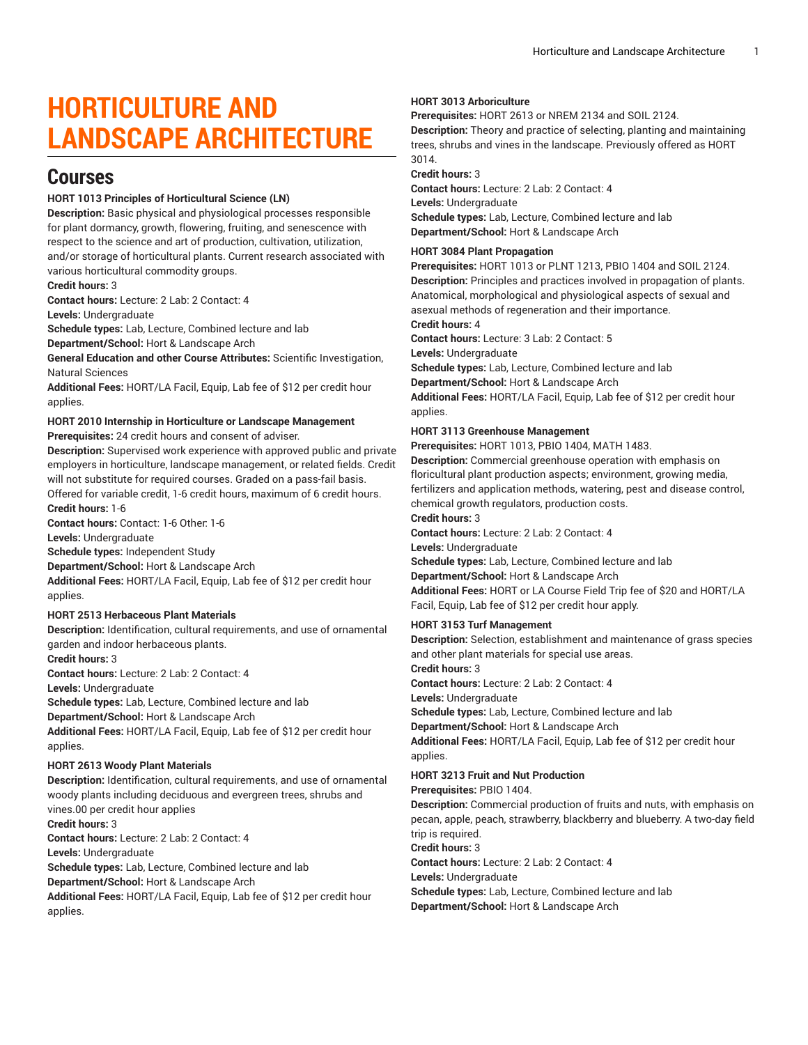# **HORTICULTURE AND LANDSCAPE ARCHITECTURE**

## **Courses**

## **HORT 1013 Principles of Horticultural Science (LN)**

**Description:** Basic physical and physiological processes responsible for plant dormancy, growth, flowering, fruiting, and senescence with respect to the science and art of production, cultivation, utilization, and/or storage of horticultural plants. Current research associated with various horticultural commodity groups.

**Credit hours:** 3

**Contact hours:** Lecture: 2 Lab: 2 Contact: 4

**Levels:** Undergraduate

**Schedule types:** Lab, Lecture, Combined lecture and lab

**Department/School:** Hort & Landscape Arch

**General Education and other Course Attributes:** Scientific Investigation, Natural Sciences

**Additional Fees:** HORT/LA Facil, Equip, Lab fee of \$12 per credit hour applies.

## **HORT 2010 Internship in Horticulture or Landscape Management Prerequisites:** 24 credit hours and consent of adviser.

**Description:** Supervised work experience with approved public and private employers in horticulture, landscape management, or related fields. Credit will not substitute for required courses. Graded on a pass-fail basis. Offered for variable credit, 1-6 credit hours, maximum of 6 credit hours.

**Credit hours:** 1-6

**Contact hours:** Contact: 1-6 Other: 1-6

**Levels:** Undergraduate

**Schedule types:** Independent Study

**Department/School:** Hort & Landscape Arch

**Additional Fees:** HORT/LA Facil, Equip, Lab fee of \$12 per credit hour applies.

#### **HORT 2513 Herbaceous Plant Materials**

**Description:** Identification, cultural requirements, and use of ornamental garden and indoor herbaceous plants.

**Credit hours:** 3

**Contact hours:** Lecture: 2 Lab: 2 Contact: 4

**Levels:** Undergraduate

**Schedule types:** Lab, Lecture, Combined lecture and lab

**Department/School:** Hort & Landscape Arch

**Additional Fees:** HORT/LA Facil, Equip, Lab fee of \$12 per credit hour applies.

#### **HORT 2613 Woody Plant Materials**

**Description:** Identification, cultural requirements, and use of ornamental woody plants including deciduous and evergreen trees, shrubs and vines.00 per credit hour applies **Credit hours:** 3 **Contact hours:** Lecture: 2 Lab: 2 Contact: 4 **Levels:** Undergraduate **Schedule types:** Lab, Lecture, Combined lecture and lab **Department/School:** Hort & Landscape Arch **Additional Fees:** HORT/LA Facil, Equip, Lab fee of \$12 per credit hour applies.

## **HORT 3013 Arboriculture**

**Prerequisites:** HORT 2613 or NREM 2134 and SOIL 2124.

**Description:** Theory and practice of selecting, planting and maintaining trees, shrubs and vines in the landscape. Previously offered as HORT 3014.

#### **Credit hours:** 3

**Contact hours:** Lecture: 2 Lab: 2 Contact: 4 **Levels:** Undergraduate **Schedule types:** Lab, Lecture, Combined lecture and lab **Department/School:** Hort & Landscape Arch

#### **HORT 3084 Plant Propagation**

**Prerequisites:** HORT 1013 or PLNT 1213, PBIO 1404 and SOIL 2124. **Description:** Principles and practices involved in propagation of plants. Anatomical, morphological and physiological aspects of sexual and asexual methods of regeneration and their importance.

## **Credit hours:** 4

**Contact hours:** Lecture: 3 Lab: 2 Contact: 5

**Levels:** Undergraduate

**Schedule types:** Lab, Lecture, Combined lecture and lab

**Department/School:** Hort & Landscape Arch

**Additional Fees:** HORT/LA Facil, Equip, Lab fee of \$12 per credit hour applies.

## **HORT 3113 Greenhouse Management**

**Prerequisites:** HORT 1013, PBIO 1404, MATH 1483.

**Description:** Commercial greenhouse operation with emphasis on floricultural plant production aspects; environment, growing media, fertilizers and application methods, watering, pest and disease control, chemical growth regulators, production costs.

#### **Credit hours:** 3

**Contact hours:** Lecture: 2 Lab: 2 Contact: 4

**Levels:** Undergraduate

**Schedule types:** Lab, Lecture, Combined lecture and lab **Department/School:** Hort & Landscape Arch **Additional Fees:** HORT or LA Course Field Trip fee of \$20 and HORT/LA Facil, Equip, Lab fee of \$12 per credit hour apply.

## **HORT 3153 Turf Management**

**Description:** Selection, establishment and maintenance of grass species and other plant materials for special use areas. **Credit hours:** 3 **Contact hours:** Lecture: 2 Lab: 2 Contact: 4 **Levels:** Undergraduate **Schedule types:** Lab, Lecture, Combined lecture and lab **Department/School:** Hort & Landscape Arch **Additional Fees:** HORT/LA Facil, Equip, Lab fee of \$12 per credit hour applies.

## **HORT 3213 Fruit and Nut Production**

**Prerequisites:** PBIO 1404.

**Description:** Commercial production of fruits and nuts, with emphasis on pecan, apple, peach, strawberry, blackberry and blueberry. A two-day field trip is required.

#### **Credit hours:** 3

**Contact hours:** Lecture: 2 Lab: 2 Contact: 4

**Levels:** Undergraduate

**Schedule types:** Lab, Lecture, Combined lecture and lab **Department/School:** Hort & Landscape Arch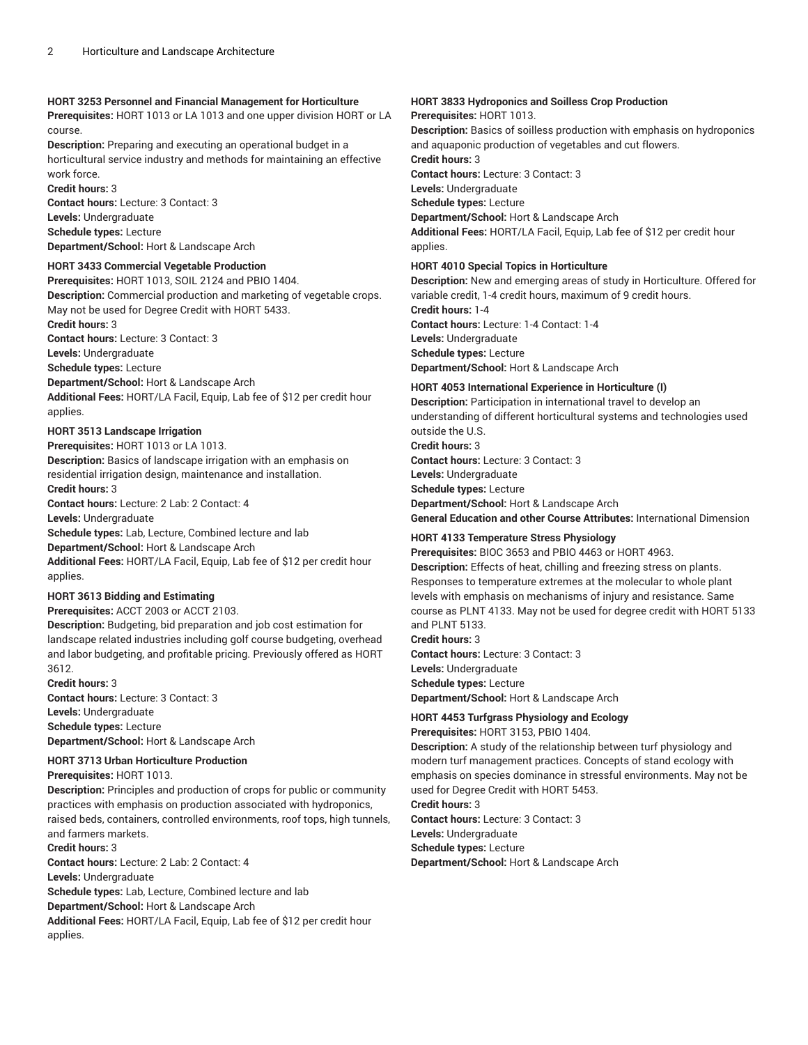## **HORT 3253 Personnel and Financial Management for Horticulture**

**Prerequisites:** HORT 1013 or LA 1013 and one upper division HORT or LA course.

**Description:** Preparing and executing an operational budget in a horticultural service industry and methods for maintaining an effective work force.

**Credit hours:** 3 **Contact hours:** Lecture: 3 Contact: 3 **Levels:** Undergraduate **Schedule types:** Lecture **Department/School:** Hort & Landscape Arch

## **HORT 3433 Commercial Vegetable Production**

**Prerequisites:** HORT 1013, SOIL 2124 and PBIO 1404. **Description:** Commercial production and marketing of vegetable crops. May not be used for Degree Credit with HORT 5433.

**Credit hours:** 3

**Contact hours:** Lecture: 3 Contact: 3

**Levels:** Undergraduate

**Schedule types:** Lecture

**Department/School:** Hort & Landscape Arch **Additional Fees:** HORT/LA Facil, Equip, Lab fee of \$12 per credit hour applies.

## **HORT 3513 Landscape Irrigation**

**Prerequisites:** HORT 1013 or LA 1013.

**Description:** Basics of landscape irrigation with an emphasis on residential irrigation design, maintenance and installation. **Credit hours:** 3

**Contact hours:** Lecture: 2 Lab: 2 Contact: 4

**Levels:** Undergraduate

**Schedule types:** Lab, Lecture, Combined lecture and lab

**Department/School:** Hort & Landscape Arch

**Additional Fees:** HORT/LA Facil, Equip, Lab fee of \$12 per credit hour applies.

## **HORT 3613 Bidding and Estimating**

**Prerequisites:** ACCT 2003 or ACCT 2103.

**Description:** Budgeting, bid preparation and job cost estimation for landscape related industries including golf course budgeting, overhead and labor budgeting, and profitable pricing. Previously offered as HORT 3612.

**Credit hours:** 3 **Contact hours:** Lecture: 3 Contact: 3 **Levels:** Undergraduate **Schedule types:** Lecture **Department/School:** Hort & Landscape Arch

## **HORT 3713 Urban Horticulture Production**

**Prerequisites:** HORT 1013.

**Description:** Principles and production of crops for public or community practices with emphasis on production associated with hydroponics, raised beds, containers, controlled environments, roof tops, high tunnels, and farmers markets.

#### **Credit hours:** 3

**Contact hours:** Lecture: 2 Lab: 2 Contact: 4 **Levels:** Undergraduate **Schedule types:** Lab, Lecture, Combined lecture and lab **Department/School:** Hort & Landscape Arch **Additional Fees:** HORT/LA Facil, Equip, Lab fee of \$12 per credit hour

applies.

## **HORT 3833 Hydroponics and Soilless Crop Production**

#### **Prerequisites:** HORT 1013.

**Description:** Basics of soilless production with emphasis on hydroponics and aquaponic production of vegetables and cut flowers.

**Credit hours:** 3

**Contact hours:** Lecture: 3 Contact: 3

**Levels:** Undergraduate

**Schedule types:** Lecture

**Department/School:** Hort & Landscape Arch **Additional Fees:** HORT/LA Facil, Equip, Lab fee of \$12 per credit hour applies.

## **HORT 4010 Special Topics in Horticulture**

**Description:** New and emerging areas of study in Horticulture. Offered for variable credit, 1-4 credit hours, maximum of 9 credit hours.

**Credit hours:** 1-4 **Contact hours:** Lecture: 1-4 Contact: 1-4 **Levels:** Undergraduate **Schedule types:** Lecture **Department/School:** Hort & Landscape Arch

## **HORT 4053 International Experience in Horticulture (I)**

**Description:** Participation in international travel to develop an understanding of different horticultural systems and technologies used outside the U.S. **Credit hours:** 3 **Contact hours:** Lecture: 3 Contact: 3 **Levels:** Undergraduate **Schedule types:** Lecture **Department/School:** Hort & Landscape Arch **General Education and other Course Attributes:** International Dimension

## **HORT 4133 Temperature Stress Physiology**

**Prerequisites:** BIOC 3653 and PBIO 4463 or HORT 4963. **Description:** Effects of heat, chilling and freezing stress on plants. Responses to temperature extremes at the molecular to whole plant levels with emphasis on mechanisms of injury and resistance. Same course as PLNT 4133. May not be used for degree credit with HORT 5133 and PLNT 5133. **Credit hours:** 3

**Contact hours:** Lecture: 3 Contact: 3 **Levels:** Undergraduate **Schedule types:** Lecture **Department/School:** Hort & Landscape Arch

**HORT 4453 Turfgrass Physiology and Ecology**

**Prerequisites:** HORT 3153, PBIO 1404.

**Description:** A study of the relationship between turf physiology and modern turf management practices. Concepts of stand ecology with emphasis on species dominance in stressful environments. May not be used for Degree Credit with HORT 5453.

**Credit hours:** 3

**Contact hours:** Lecture: 3 Contact: 3 **Levels:** Undergraduate **Schedule types:** Lecture **Department/School:** Hort & Landscape Arch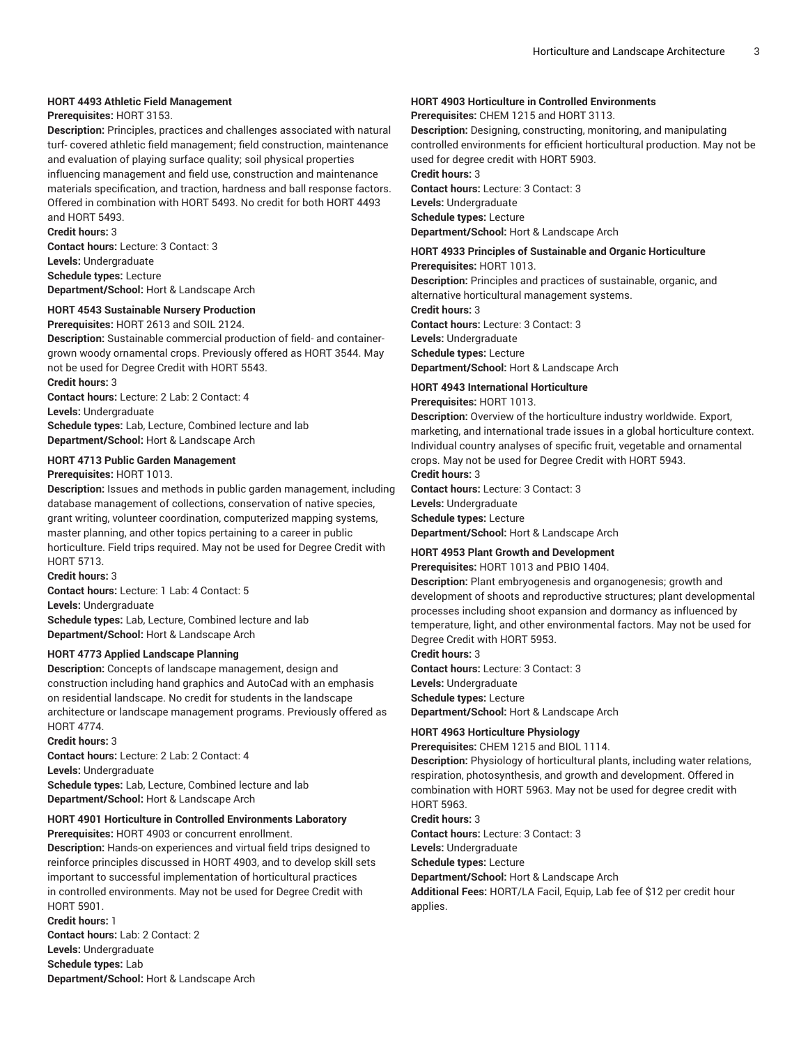## **HORT 4493 Athletic Field Management**

#### **Prerequisites:** HORT 3153.

**Description:** Principles, practices and challenges associated with natural turf- covered athletic field management; field construction, maintenance and evaluation of playing surface quality; soil physical properties influencing management and field use, construction and maintenance materials specification, and traction, hardness and ball response factors. Offered in combination with HORT 5493. No credit for both HORT 4493 and HORT 5493.

**Credit hours:** 3

**Contact hours:** Lecture: 3 Contact: 3 **Levels:** Undergraduate **Schedule types:** Lecture **Department/School:** Hort & Landscape Arch

## **HORT 4543 Sustainable Nursery Production**

**Prerequisites:** HORT 2613 and SOIL 2124. **Description:** Sustainable commercial production of field- and containergrown woody ornamental crops. Previously offered as HORT 3544. May not be used for Degree Credit with HORT 5543. **Credit hours:** 3

**Contact hours:** Lecture: 2 Lab: 2 Contact: 4

**Levels:** Undergraduate

**Schedule types:** Lab, Lecture, Combined lecture and lab **Department/School:** Hort & Landscape Arch

#### **HORT 4713 Public Garden Management**

#### **Prerequisites:** HORT 1013.

**Description:** Issues and methods in public garden management, including database management of collections, conservation of native species, grant writing, volunteer coordination, computerized mapping systems, master planning, and other topics pertaining to a career in public horticulture. Field trips required. May not be used for Degree Credit with HORT 5713.

**Credit hours:** 3

**Contact hours:** Lecture: 1 Lab: 4 Contact: 5

**Levels:** Undergraduate

**Schedule types:** Lab, Lecture, Combined lecture and lab **Department/School:** Hort & Landscape Arch

#### **HORT 4773 Applied Landscape Planning**

**Description:** Concepts of landscape management, design and construction including hand graphics and AutoCad with an emphasis on residential landscape. No credit for students in the landscape architecture or landscape management programs. Previously offered as HORT 4774.

**Credit hours:** 3

**Contact hours:** Lecture: 2 Lab: 2 Contact: 4 **Levels:** Undergraduate **Schedule types:** Lab, Lecture, Combined lecture and lab **Department/School:** Hort & Landscape Arch

## **HORT 4901 Horticulture in Controlled Environments Laboratory**

**Prerequisites:** HORT 4903 or concurrent enrollment.

**Description:** Hands-on experiences and virtual field trips designed to reinforce principles discussed in HORT 4903, and to develop skill sets important to successful implementation of horticultural practices in controlled environments. May not be used for Degree Credit with HORT 5901.

**Credit hours:** 1 **Contact hours:** Lab: 2 Contact: 2 **Levels:** Undergraduate **Schedule types:** Lab **Department/School:** Hort & Landscape Arch

## **HORT 4903 Horticulture in Controlled Environments**

**Prerequisites:** CHEM 1215 and HORT 3113.

**Description:** Designing, constructing, monitoring, and manipulating controlled environments for efficient horticultural production. May not be used for degree credit with HORT 5903.

**Credit hours:** 3

**Contact hours:** Lecture: 3 Contact: 3 **Levels:** Undergraduate **Schedule types:** Lecture **Department/School:** Hort & Landscape Arch

#### **HORT 4933 Principles of Sustainable and Organic Horticulture**

**Prerequisites:** HORT 1013. **Description:** Principles and practices of sustainable, organic, and alternative horticultural management systems.

**Credit hours:** 3 **Contact hours:** Lecture: 3 Contact: 3 **Levels:** Undergraduate **Schedule types:** Lecture **Department/School:** Hort & Landscape Arch

## **HORT 4943 International Horticulture**

#### **Prerequisites:** HORT 1013.

**Description:** Overview of the horticulture industry worldwide. Export, marketing, and international trade issues in a global horticulture context. Individual country analyses of specific fruit, vegetable and ornamental crops. May not be used for Degree Credit with HORT 5943.

**Credit hours:** 3

**Contact hours:** Lecture: 3 Contact: 3 **Levels:** Undergraduate **Schedule types:** Lecture

**Department/School:** Hort & Landscape Arch

## **HORT 4953 Plant Growth and Development**

**Prerequisites:** HORT 1013 and PBIO 1404.

**Description:** Plant embryogenesis and organogenesis; growth and development of shoots and reproductive structures; plant developmental processes including shoot expansion and dormancy as influenced by temperature, light, and other environmental factors. May not be used for Degree Credit with HORT 5953.

**Credit hours:** 3 **Contact hours:** Lecture: 3 Contact: 3 **Levels:** Undergraduate **Schedule types:** Lecture

**Department/School:** Hort & Landscape Arch

## **HORT 4963 Horticulture Physiology**

**Prerequisites:** CHEM 1215 and BIOL 1114.

**Description:** Physiology of horticultural plants, including water relations, respiration, photosynthesis, and growth and development. Offered in combination with HORT 5963. May not be used for degree credit with HORT 5963.

**Credit hours:** 3

**Contact hours:** Lecture: 3 Contact: 3

**Levels:** Undergraduate

**Schedule types:** Lecture

**Department/School:** Hort & Landscape Arch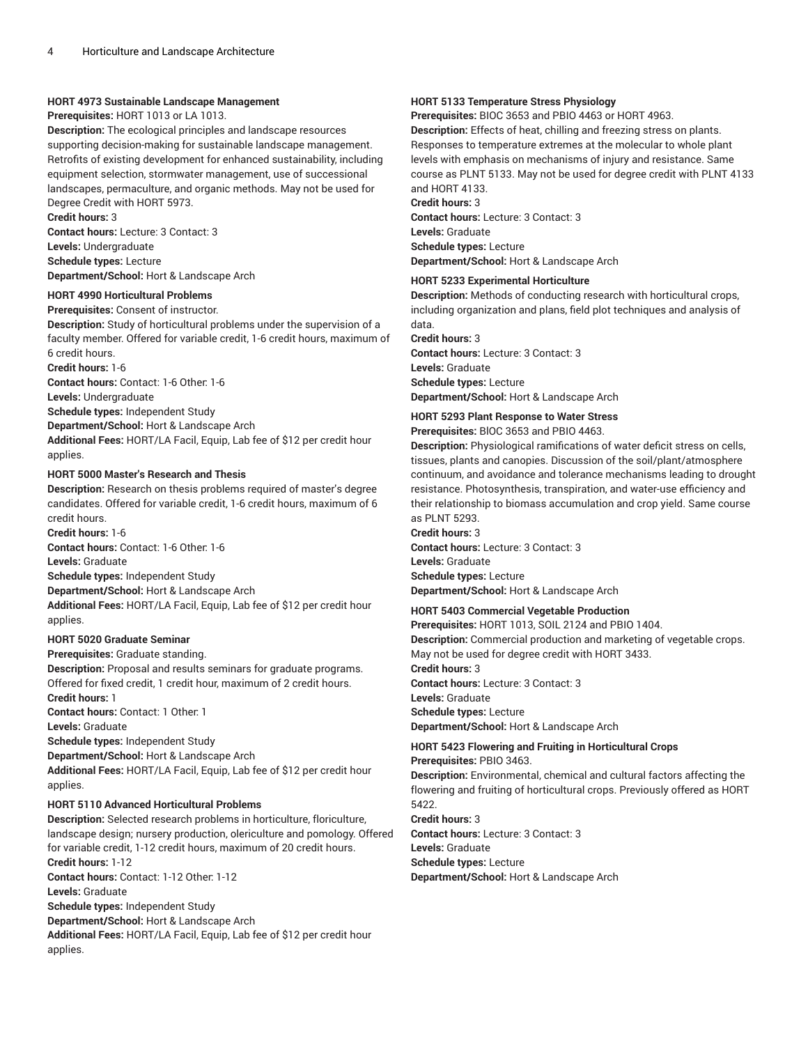#### **HORT 4973 Sustainable Landscape Management**

#### **Prerequisites:** HORT 1013 or LA 1013.

**Description:** The ecological principles and landscape resources supporting decision-making for sustainable landscape management. Retrofits of existing development for enhanced sustainability, including equipment selection, stormwater management, use of successional landscapes, permaculture, and organic methods. May not be used for Degree Credit with HORT 5973.

**Credit hours:** 3

**Contact hours:** Lecture: 3 Contact: 3 **Levels:** Undergraduate **Schedule types:** Lecture **Department/School:** Hort & Landscape Arch

#### **HORT 4990 Horticultural Problems**

**Prerequisites:** Consent of instructor.

**Description:** Study of horticultural problems under the supervision of a faculty member. Offered for variable credit, 1-6 credit hours, maximum of 6 credit hours.

**Credit hours:** 1-6

**Contact hours:** Contact: 1-6 Other: 1-6 **Levels:** Undergraduate **Schedule types:** Independent Study **Department/School:** Hort & Landscape Arch **Additional Fees:** HORT/LA Facil, Equip, Lab fee of \$12 per credit hour applies.

#### **HORT 5000 Master's Research and Thesis**

**Description:** Research on thesis problems required of master's degree candidates. Offered for variable credit, 1-6 credit hours, maximum of 6 credit hours.

**Credit hours:** 1-6 **Contact hours:** Contact: 1-6 Other: 1-6 **Levels:** Graduate

**Schedule types:** Independent Study

**Department/School:** Hort & Landscape Arch

**Additional Fees:** HORT/LA Facil, Equip, Lab fee of \$12 per credit hour applies.

## **HORT 5020 Graduate Seminar**

**Prerequisites:** Graduate standing.

**Description:** Proposal and results seminars for graduate programs. Offered for fixed credit, 1 credit hour, maximum of 2 credit hours. **Credit hours:** 1 **Contact hours:** Contact: 1 Other: 1 **Levels:** Graduate

**Schedule types:** Independent Study **Department/School:** Hort & Landscape Arch

**Additional Fees:** HORT/LA Facil, Equip, Lab fee of \$12 per credit hour applies.

#### **HORT 5110 Advanced Horticultural Problems**

**Description:** Selected research problems in horticulture, floriculture, landscape design; nursery production, olericulture and pomology. Offered for variable credit, 1-12 credit hours, maximum of 20 credit hours. **Credit hours:** 1-12 **Contact hours:** Contact: 1-12 Other: 1-12 **Levels:** Graduate **Schedule types:** Independent Study **Department/School:** Hort & Landscape Arch

**Additional Fees:** HORT/LA Facil, Equip, Lab fee of \$12 per credit hour applies.

#### **HORT 5133 Temperature Stress Physiology**

**Prerequisites:** BIOC 3653 and PBIO 4463 or HORT 4963.

**Description:** Effects of heat, chilling and freezing stress on plants. Responses to temperature extremes at the molecular to whole plant levels with emphasis on mechanisms of injury and resistance. Same course as PLNT 5133. May not be used for degree credit with PLNT 4133 and HORT 4133.

## **Credit hours:** 3

**Contact hours:** Lecture: 3 Contact: 3 **Levels:** Graduate **Schedule types:** Lecture **Department/School:** Hort & Landscape Arch

#### **HORT 5233 Experimental Horticulture**

**Description:** Methods of conducting research with horticultural crops, including organization and plans, field plot techniques and analysis of data.

**Credit hours:** 3 **Contact hours:** Lecture: 3 Contact: 3 **Levels:** Graduate **Schedule types:** Lecture **Department/School:** Hort & Landscape Arch

## **HORT 5293 Plant Response to Water Stress**

**Prerequisites:** BlOC 3653 and PBIO 4463.

**Description:** Physiological ramifications of water deficit stress on cells, tissues, plants and canopies. Discussion of the soil/plant/atmosphere continuum, and avoidance and tolerance mechanisms leading to drought resistance. Photosynthesis, transpiration, and water-use efficiency and their relationship to biomass accumulation and crop yield. Same course as PLNT 5293.

**Credit hours:** 3 **Contact hours:** Lecture: 3 Contact: 3 **Levels:** Graduate **Schedule types:** Lecture **Department/School:** Hort & Landscape Arch

## **HORT 5403 Commercial Vegetable Production**

**Prerequisites:** HORT 1013, SOIL 2124 and PBIO 1404. **Description:** Commercial production and marketing of vegetable crops. May not be used for degree credit with HORT 3433. **Credit hours:** 3 **Contact hours:** Lecture: 3 Contact: 3 **Levels:** Graduate **Schedule types:** Lecture **Department/School:** Hort & Landscape Arch

## **HORT 5423 Flowering and Fruiting in Horticultural Crops**

**Prerequisites:** PBIO 3463.

**Description:** Environmental, chemical and cultural factors affecting the flowering and fruiting of horticultural crops. Previously offered as HORT 5422.

**Credit hours:** 3 **Contact hours:** Lecture: 3 Contact: 3 **Levels:** Graduate **Schedule types:** Lecture

**Department/School:** Hort & Landscape Arch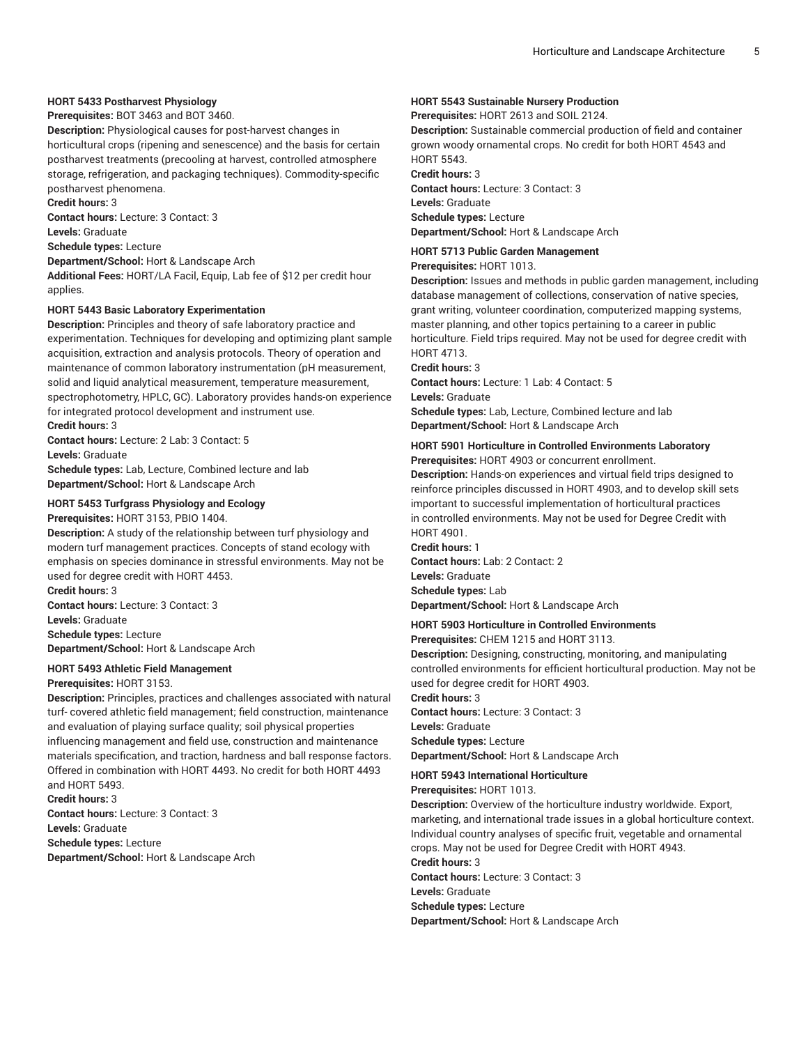## **HORT 5433 Postharvest Physiology**

**Prerequisites:** BOT 3463 and BOT 3460.

**Description:** Physiological causes for post-harvest changes in horticultural crops (ripening and senescence) and the basis for certain postharvest treatments (precooling at harvest, controlled atmosphere storage, refrigeration, and packaging techniques). Commodity-specific postharvest phenomena.

**Credit hours:** 3

**Contact hours:** Lecture: 3 Contact: 3 **Levels:** Graduate

**Schedule types:** Lecture

**Department/School:** Hort & Landscape Arch

**Additional Fees:** HORT/LA Facil, Equip, Lab fee of \$12 per credit hour applies.

#### **HORT 5443 Basic Laboratory Experimentation**

**Description:** Principles and theory of safe laboratory practice and experimentation. Techniques for developing and optimizing plant sample acquisition, extraction and analysis protocols. Theory of operation and maintenance of common laboratory instrumentation (pH measurement, solid and liquid analytical measurement, temperature measurement, spectrophotometry, HPLC, GC). Laboratory provides hands-on experience for integrated protocol development and instrument use. **Credit hours:** 3

**Contact hours:** Lecture: 2 Lab: 3 Contact: 5

**Levels:** Graduate

**Schedule types:** Lab, Lecture, Combined lecture and lab **Department/School:** Hort & Landscape Arch

#### **HORT 5453 Turfgrass Physiology and Ecology**

**Prerequisites:** HORT 3153, PBIO 1404.

**Description:** A study of the relationship between turf physiology and modern turf management practices. Concepts of stand ecology with emphasis on species dominance in stressful environments. May not be used for degree credit with HORT 4453.

**Credit hours:** 3 **Contact hours:** Lecture: 3 Contact: 3 **Levels:** Graduate **Schedule types:** Lecture

**Department/School:** Hort & Landscape Arch

#### **HORT 5493 Athletic Field Management**

#### **Prerequisites:** HORT 3153.

**Description:** Principles, practices and challenges associated with natural turf- covered athletic field management; field construction, maintenance and evaluation of playing surface quality; soil physical properties influencing management and field use, construction and maintenance materials specification, and traction, hardness and ball response factors. Offered in combination with HORT 4493. No credit for both HORT 4493 and HORT 5493. **Credit hours:** 3

**Contact hours:** Lecture: 3 Contact: 3 **Levels:** Graduate **Schedule types:** Lecture **Department/School:** Hort & Landscape Arch

### **HORT 5543 Sustainable Nursery Production**

**Prerequisites:** HORT 2613 and SOIL 2124.

**Description:** Sustainable commercial production of field and container grown woody ornamental crops. No credit for both HORT 4543 and HORT 5543.

**Credit hours:** 3 **Contact hours:** Lecture: 3 Contact: 3 **Levels:** Graduate **Schedule types:** Lecture

**Department/School:** Hort & Landscape Arch

## **HORT 5713 Public Garden Management**

**Prerequisites:** HORT 1013.

**Description:** Issues and methods in public garden management, including database management of collections, conservation of native species, grant writing, volunteer coordination, computerized mapping systems, master planning, and other topics pertaining to a career in public horticulture. Field trips required. May not be used for degree credit with HORT 4713.

#### **Credit hours:** 3

**Contact hours:** Lecture: 1 Lab: 4 Contact: 5 **Levels:** Graduate **Schedule types:** Lab, Lecture, Combined lecture and lab **Department/School:** Hort & Landscape Arch

#### **HORT 5901 Horticulture in Controlled Environments Laboratory Prerequisites:** HORT 4903 or concurrent enrollment.

**Description:** Hands-on experiences and virtual field trips designed to reinforce principles discussed in HORT 4903, and to develop skill sets important to successful implementation of horticultural practices in controlled environments. May not be used for Degree Credit with HORT 4901.

**Credit hours:** 1 **Contact hours:** Lab: 2 Contact: 2 **Levels:** Graduate **Schedule types:** Lab **Department/School:** Hort & Landscape Arch

#### **HORT 5903 Horticulture in Controlled Environments**

**Prerequisites:** CHEM 1215 and HORT 3113.

**Description:** Designing, constructing, monitoring, and manipulating controlled environments for efficient horticultural production. May not be used for degree credit for HORT 4903.

**Credit hours:** 3

**Contact hours:** Lecture: 3 Contact: 3 **Levels:** Graduate **Schedule types:** Lecture **Department/School:** Hort & Landscape Arch

**HORT 5943 International Horticulture**

**Prerequisites:** HORT 1013.

**Description:** Overview of the horticulture industry worldwide. Export, marketing, and international trade issues in a global horticulture context. Individual country analyses of specific fruit, vegetable and ornamental crops. May not be used for Degree Credit with HORT 4943.

**Credit hours:** 3

**Contact hours:** Lecture: 3 Contact: 3

**Levels:** Graduate

**Schedule types:** Lecture

**Department/School:** Hort & Landscape Arch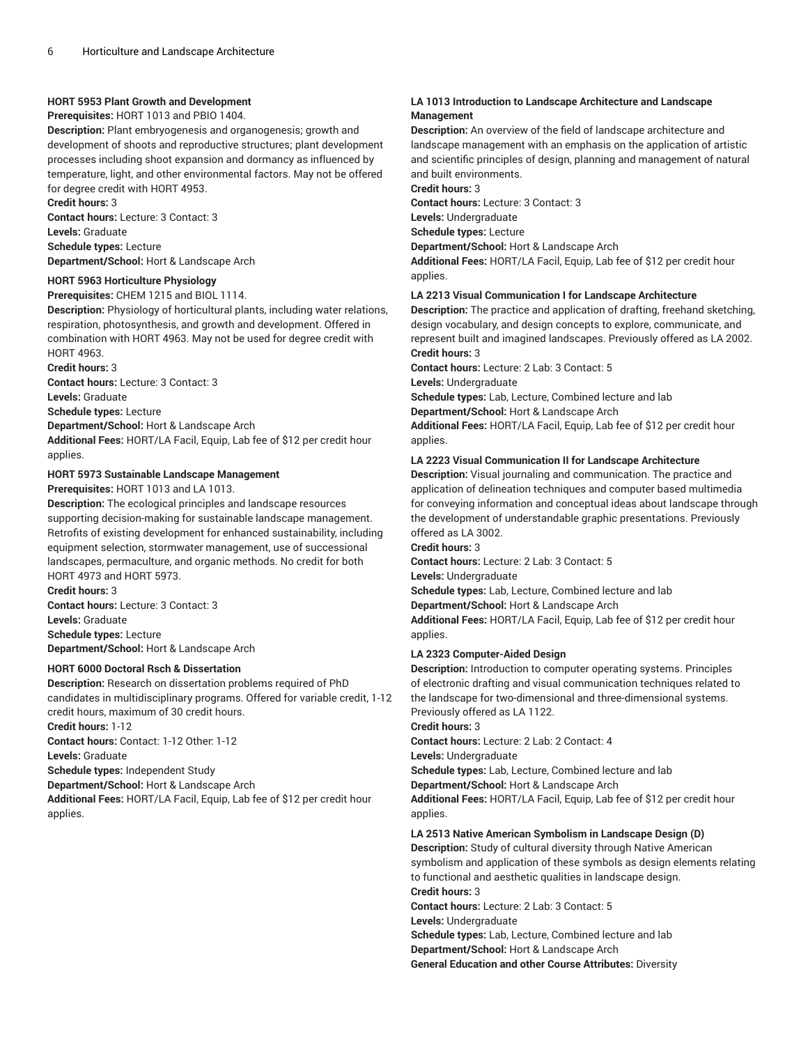## **HORT 5953 Plant Growth and Development**

**Prerequisites:** HORT 1013 and PBIO 1404.

**Description:** Plant embryogenesis and organogenesis; growth and development of shoots and reproductive structures; plant development processes including shoot expansion and dormancy as influenced by temperature, light, and other environmental factors. May not be offered for degree credit with HORT 4953.

**Credit hours:** 3

**Contact hours:** Lecture: 3 Contact: 3 **Levels:** Graduate **Schedule types:** Lecture

**Department/School:** Hort & Landscape Arch

## **HORT 5963 Horticulture Physiology**

**Prerequisites:** CHEM 1215 and BIOL 1114.

**Description:** Physiology of horticultural plants, including water relations, respiration, photosynthesis, and growth and development. Offered in combination with HORT 4963. May not be used for degree credit with HORT 4963.

**Credit hours:** 3

**Contact hours:** Lecture: 3 Contact: 3 **Levels:** Graduate

**Schedule types:** Lecture

**Department/School:** Hort & Landscape Arch

**Additional Fees:** HORT/LA Facil, Equip, Lab fee of \$12 per credit hour applies.

## **HORT 5973 Sustainable Landscape Management**

**Prerequisites:** HORT 1013 and LA 1013.

**Description:** The ecological principles and landscape resources supporting decision-making for sustainable landscape management. Retrofits of existing development for enhanced sustainability, including equipment selection, stormwater management, use of successional landscapes, permaculture, and organic methods. No credit for both HORT 4973 and HORT 5973.

**Credit hours:** 3 **Contact hours:** Lecture: 3 Contact: 3 **Levels:** Graduate **Schedule types:** Lecture **Department/School:** Hort & Landscape Arch

**HORT 6000 Doctoral Rsch & Dissertation**

**Description:** Research on dissertation problems required of PhD candidates in multidisciplinary programs. Offered for variable credit, 1-12 credit hours, maximum of 30 credit hours. **Credit hours:** 1-12

**Contact hours:** Contact: 1-12 Other: 1-12

**Levels:** Graduate

**Schedule types:** Independent Study

**Department/School:** Hort & Landscape Arch

**Additional Fees:** HORT/LA Facil, Equip, Lab fee of \$12 per credit hour applies.

## **LA 1013 Introduction to Landscape Architecture and Landscape Management**

**Description:** An overview of the field of landscape architecture and landscape management with an emphasis on the application of artistic and scientific principles of design, planning and management of natural and built environments.

**Credit hours:** 3

**Contact hours:** Lecture: 3 Contact: 3

**Levels:** Undergraduate

**Schedule types:** Lecture

**Department/School:** Hort & Landscape Arch

**Additional Fees:** HORT/LA Facil, Equip, Lab fee of \$12 per credit hour applies.

## **LA 2213 Visual Communication I for Landscape Architecture**

**Description:** The practice and application of drafting, freehand sketching, design vocabulary, and design concepts to explore, communicate, and represent built and imagined landscapes. Previously offered as LA 2002. **Credit hours:** 3

**Contact hours:** Lecture: 2 Lab: 3 Contact: 5 **Levels:** Undergraduate

**Schedule types:** Lab, Lecture, Combined lecture and lab

**Department/School:** Hort & Landscape Arch

**Additional Fees:** HORT/LA Facil, Equip, Lab fee of \$12 per credit hour applies.

## **LA 2223 Visual Communication II for Landscape Architecture**

**Description:** Visual journaling and communication. The practice and application of delineation techniques and computer based multimedia for conveying information and conceptual ideas about landscape through the development of understandable graphic presentations. Previously offered as LA 3002.

#### **Credit hours:** 3

**Contact hours:** Lecture: 2 Lab: 3 Contact: 5

**Levels:** Undergraduate

**Schedule types:** Lab, Lecture, Combined lecture and lab

**Department/School:** Hort & Landscape Arch

**Additional Fees:** HORT/LA Facil, Equip, Lab fee of \$12 per credit hour applies.

## **LA 2323 Computer-Aided Design**

**Description:** Introduction to computer operating systems. Principles of electronic drafting and visual communication techniques related to the landscape for two-dimensional and three-dimensional systems. Previously offered as LA 1122.

**Credit hours:** 3

**Contact hours:** Lecture: 2 Lab: 2 Contact: 4

**Levels:** Undergraduate

**Schedule types:** Lab, Lecture, Combined lecture and lab

**Department/School:** Hort & Landscape Arch

**Additional Fees:** HORT/LA Facil, Equip, Lab fee of \$12 per credit hour applies.

## **LA 2513 Native American Symbolism in Landscape Design (D)**

**Description:** Study of cultural diversity through Native American symbolism and application of these symbols as design elements relating to functional and aesthetic qualities in landscape design. **Credit hours:** 3

**Contact hours:** Lecture: 2 Lab: 3 Contact: 5

**Levels:** Undergraduate

**Schedule types:** Lab, Lecture, Combined lecture and lab

**Department/School:** Hort & Landscape Arch

**General Education and other Course Attributes:** Diversity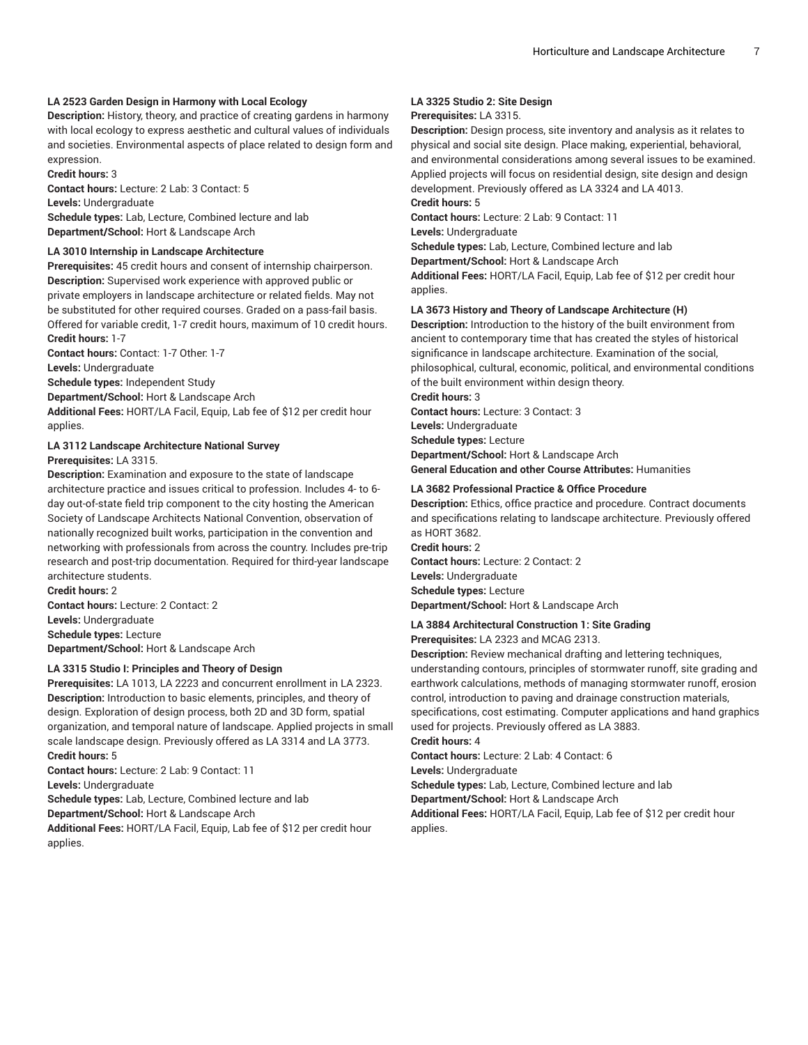## **LA 2523 Garden Design in Harmony with Local Ecology**

**Description:** History, theory, and practice of creating gardens in harmony with local ecology to express aesthetic and cultural values of individuals and societies. Environmental aspects of place related to design form and expression.

**Credit hours:** 3

**Contact hours:** Lecture: 2 Lab: 3 Contact: 5 **Levels:** Undergraduate **Schedule types:** Lab, Lecture, Combined lecture and lab **Department/School:** Hort & Landscape Arch

#### **LA 3010 Internship in Landscape Architecture**

**Prerequisites:** 45 credit hours and consent of internship chairperson. **Description:** Supervised work experience with approved public or private employers in landscape architecture or related fields. May not be substituted for other required courses. Graded on a pass-fail basis. Offered for variable credit, 1-7 credit hours, maximum of 10 credit hours. **Credit hours:** 1-7

**Contact hours:** Contact: 1-7 Other: 1-7

**Levels:** Undergraduate

**Schedule types:** Independent Study

**Department/School:** Hort & Landscape Arch

**Additional Fees:** HORT/LA Facil, Equip, Lab fee of \$12 per credit hour applies.

## **LA 3112 Landscape Architecture National Survey**

**Prerequisites:** LA 3315.

**Description:** Examination and exposure to the state of landscape architecture practice and issues critical to profession. Includes 4- to 6 day out-of-state field trip component to the city hosting the American Society of Landscape Architects National Convention, observation of nationally recognized built works, participation in the convention and networking with professionals from across the country. Includes pre-trip research and post-trip documentation. Required for third-year landscape architecture students.

**Credit hours:** 2 **Contact hours:** Lecture: 2 Contact: 2

**Levels:** Undergraduate

**Schedule types:** Lecture

**Department/School:** Hort & Landscape Arch

#### **LA 3315 Studio I: Principles and Theory of Design**

**Prerequisites:** LA 1013, LA 2223 and concurrent enrollment in LA 2323. **Description:** Introduction to basic elements, principles, and theory of design. Exploration of design process, both 2D and 3D form, spatial organization, and temporal nature of landscape. Applied projects in small scale landscape design. Previously offered as LA 3314 and LA 3773. **Credit hours:** 5

**Contact hours:** Lecture: 2 Lab: 9 Contact: 11

**Levels:** Undergraduate

**Schedule types:** Lab, Lecture, Combined lecture and lab

**Department/School:** Hort & Landscape Arch

**Additional Fees:** HORT/LA Facil, Equip, Lab fee of \$12 per credit hour applies.

## **LA 3325 Studio 2: Site Design**

## **Prerequisites:** LA 3315.

**Description:** Design process, site inventory and analysis as it relates to physical and social site design. Place making, experiential, behavioral, and environmental considerations among several issues to be examined. Applied projects will focus on residential design, site design and design development. Previously offered as LA 3324 and LA 4013.

## **Credit hours:** 5

**Contact hours:** Lecture: 2 Lab: 9 Contact: 11

**Levels:** Undergraduate

**Schedule types:** Lab, Lecture, Combined lecture and lab

**Department/School:** Hort & Landscape Arch

**Additional Fees:** HORT/LA Facil, Equip, Lab fee of \$12 per credit hour applies.

#### **LA 3673 History and Theory of Landscape Architecture (H)**

**Description:** Introduction to the history of the built environment from ancient to contemporary time that has created the styles of historical significance in landscape architecture. Examination of the social, philosophical, cultural, economic, political, and environmental conditions of the built environment within design theory.

**Credit hours:** 3

**Contact hours:** Lecture: 3 Contact: 3 **Levels:** Undergraduate **Schedule types:** Lecture **Department/School:** Hort & Landscape Arch **General Education and other Course Attributes:** Humanities

## **LA 3682 Professional Practice & Office Procedure**

**Description:** Ethics, office practice and procedure. Contract documents and specifications relating to landscape architecture. Previously offered as HORT 3682.

**Credit hours:** 2 **Contact hours:** Lecture: 2 Contact: 2 **Levels:** Undergraduate **Schedule types:** Lecture **Department/School:** Hort & Landscape Arch

## **LA 3884 Architectural Construction 1: Site Grading**

**Prerequisites:** LA 2323 and MCAG 2313.

**Description:** Review mechanical drafting and lettering techniques, understanding contours, principles of stormwater runoff, site grading and earthwork calculations, methods of managing stormwater runoff, erosion control, introduction to paving and drainage construction materials, specifications, cost estimating. Computer applications and hand graphics used for projects. Previously offered as LA 3883.

## **Credit hours:** 4

**Contact hours:** Lecture: 2 Lab: 4 Contact: 6

**Levels:** Undergraduate

**Schedule types:** Lab, Lecture, Combined lecture and lab

**Department/School:** Hort & Landscape Arch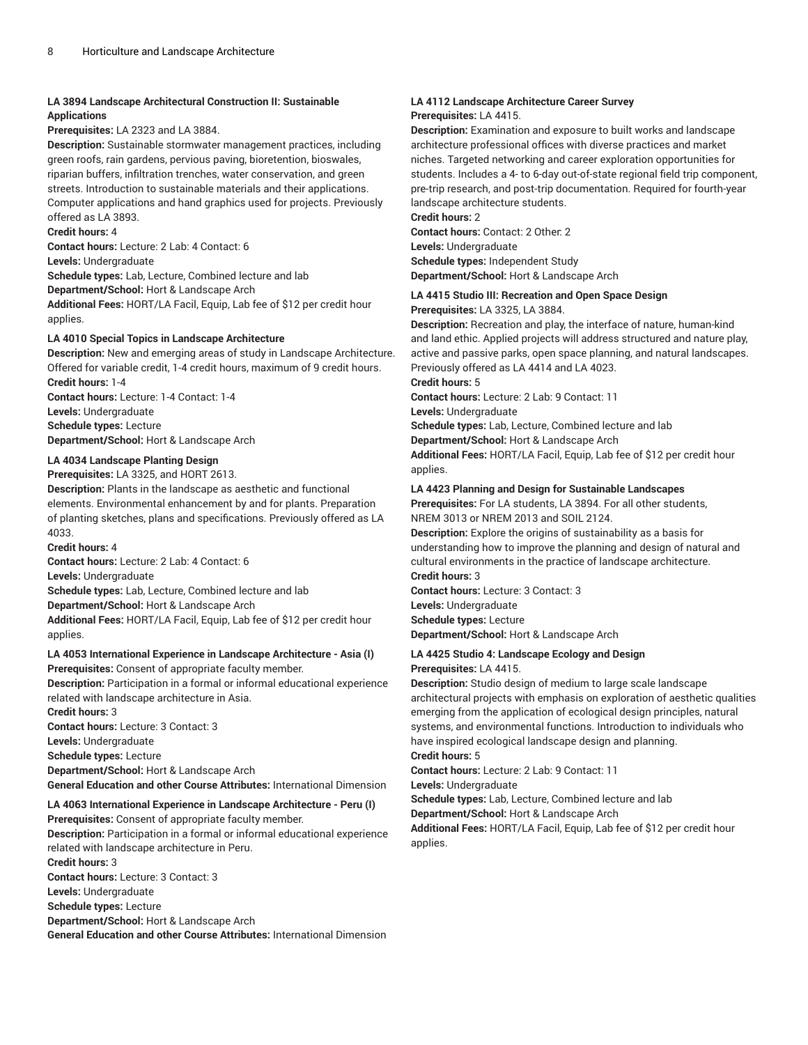## **LA 3894 Landscape Architectural Construction II: Sustainable Applications**

**Prerequisites:** LA 2323 and LA 3884.

**Description:** Sustainable stormwater management practices, including green roofs, rain gardens, pervious paving, bioretention, bioswales, riparian buffers, infiltration trenches, water conservation, and green streets. Introduction to sustainable materials and their applications. Computer applications and hand graphics used for projects. Previously offered as LA 3893.

**Credit hours:** 4

**Contact hours:** Lecture: 2 Lab: 4 Contact: 6

**Levels:** Undergraduate

**Schedule types:** Lab, Lecture, Combined lecture and lab

**Department/School:** Hort & Landscape Arch

**Additional Fees:** HORT/LA Facil, Equip, Lab fee of \$12 per credit hour applies.

## **LA 4010 Special Topics in Landscape Architecture**

**Description:** New and emerging areas of study in Landscape Architecture. Offered for variable credit, 1-4 credit hours, maximum of 9 credit hours. **Credit hours:** 1-4

**Contact hours:** Lecture: 1-4 Contact: 1-4

**Levels:** Undergraduate

**Schedule types:** Lecture

**Department/School:** Hort & Landscape Arch

## **LA 4034 Landscape Planting Design**

**Prerequisites:** LA 3325, and HORT 2613.

**Description:** Plants in the landscape as aesthetic and functional elements. Environmental enhancement by and for plants. Preparation of planting sketches, plans and specifications. Previously offered as LA 4033.

**Credit hours:** 4

**Contact hours:** Lecture: 2 Lab: 4 Contact: 6 **Levels:** Undergraduate **Schedule types:** Lab, Lecture, Combined lecture and lab **Department/School:** Hort & Landscape Arch **Additional Fees:** HORT/LA Facil, Equip, Lab fee of \$12 per credit hour applies.

#### **LA 4053 International Experience in Landscape Architecture - Asia (I) Prerequisites:** Consent of appropriate faculty member.

**Description:** Participation in a formal or informal educational experience related with landscape architecture in Asia. **Credit hours:** 3 **Contact hours:** Lecture: 3 Contact: 3

**Levels:** Undergraduate

**Schedule types:** Lecture **Department/School:** Hort & Landscape Arch

**General Education and other Course Attributes:** International Dimension

## **LA 4063 International Experience in Landscape Architecture - Peru (I)**

**Prerequisites:** Consent of appropriate faculty member. **Description:** Participation in a formal or informal educational experience related with landscape architecture in Peru. **Credit hours:** 3 **Contact hours:** Lecture: 3 Contact: 3 **Levels:** Undergraduate **Schedule types:** Lecture **Department/School:** Hort & Landscape Arch **General Education and other Course Attributes:** International Dimension

## **LA 4112 Landscape Architecture Career Survey Prerequisites:** LA 4415.

**Description:** Examination and exposure to built works and landscape architecture professional offices with diverse practices and market niches. Targeted networking and career exploration opportunities for students. Includes a 4- to 6-day out-of-state regional field trip component, pre-trip research, and post-trip documentation. Required for fourth-year landscape architecture students.

**Credit hours:** 2

**Contact hours:** Contact: 2 Other: 2 **Levels:** Undergraduate **Schedule types:** Independent Study **Department/School:** Hort & Landscape Arch

## **LA 4415 Studio III: Recreation and Open Space Design**

**Prerequisites:** LA 3325, LA 3884.

**Description:** Recreation and play, the interface of nature, human-kind and land ethic. Applied projects will address structured and nature play, active and passive parks, open space planning, and natural landscapes. Previously offered as LA 4414 and LA 4023.

**Credit hours:** 5

**Contact hours:** Lecture: 2 Lab: 9 Contact: 11

**Levels:** Undergraduate

**Schedule types:** Lab, Lecture, Combined lecture and lab

**Department/School:** Hort & Landscape Arch

**Additional Fees:** HORT/LA Facil, Equip, Lab fee of \$12 per credit hour applies.

## **LA 4423 Planning and Design for Sustainable Landscapes**

**Prerequisites:** For LA students, LA 3894. For all other students, NREM 3013 or NREM 2013 and SOIL 2124.

**Description:** Explore the origins of sustainability as a basis for understanding how to improve the planning and design of natural and cultural environments in the practice of landscape architecture. **Credit hours:** 3

**Contact hours:** Lecture: 3 Contact: 3 **Levels:** Undergraduate

**Schedule types:** Lecture

**Department/School:** Hort & Landscape Arch

## **LA 4425 Studio 4: Landscape Ecology and Design**

#### **Prerequisites:** LA 4415.

**Description:** Studio design of medium to large scale landscape architectural projects with emphasis on exploration of aesthetic qualities emerging from the application of ecological design principles, natural systems, and environmental functions. Introduction to individuals who have inspired ecological landscape design and planning.

**Credit hours:** 5

**Contact hours:** Lecture: 2 Lab: 9 Contact: 11

**Levels:** Undergraduate

**Schedule types:** Lab, Lecture, Combined lecture and lab

**Department/School:** Hort & Landscape Arch